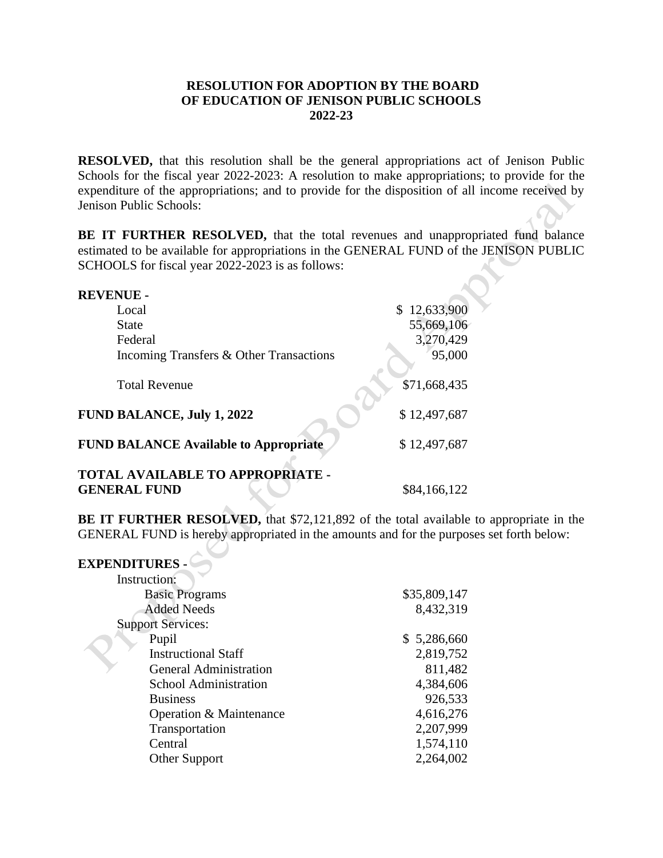## **RESOLUTION FOR ADOPTION BY THE BOARD OF EDUCATION OF JENISON PUBLIC SCHOOLS 2022-23**

 **RESOLVED,** that this resolution shall be the general appropriations act of Jenison Public Schools for the fiscal year 2022-2023: A resolution to make appropriations; to provide for the expenditure of the appropriations; and to provide for the disposition of all income received by Jenison Public Schools:

BE IT FURTHER RESOLVED, that the total revenues and unappropriated fund balance estimated to be available for appropriations in the GENERAL FUND of the JENISON PUBLIC SCHOOLS for fiscal year 2022-2023 is as follows:

| <b>REVENUE -</b>                             |              |
|----------------------------------------------|--------------|
| Local                                        | \$12,633,900 |
| <b>State</b>                                 | 55,669,106   |
| Federal                                      | 3,270,429    |
| Incoming Transfers & Other Transactions      | 95,000       |
| <b>Total Revenue</b>                         | \$71,668,435 |
| <b>FUND BALANCE, July 1, 2022</b>            | \$12,497,687 |
| <b>FUND BALANCE Available to Appropriate</b> | \$12,497,687 |
| <b>TOTAL AVAILABLE TO APPROPRIATE -</b>      |              |
| <b>GENERAL FUND</b>                          | \$84,166,122 |

**BE IT FURTHER RESOLVED,** that \$72,121,892 of the total available to appropriate in the GENERAL FUND is hereby appropriated in the amounts and for the purposes set forth below:

| <b>EXPENDITURES -</b>         |              |
|-------------------------------|--------------|
| Instruction:                  |              |
| <b>Basic Programs</b>         | \$35,809,147 |
| <b>Added Needs</b>            | 8,432,319    |
| <b>Support Services:</b>      |              |
| Pupil                         | \$5,286,660  |
| <b>Instructional Staff</b>    | 2,819,752    |
| <b>General Administration</b> | 811,482      |
| <b>School Administration</b>  | 4,384,606    |
| <b>Business</b>               | 926,533      |
| Operation & Maintenance       | 4,616,276    |
| Transportation                | 2,207,999    |
| Central                       | 1,574,110    |
| <b>Other Support</b>          | 2,264,002    |

 $\sim$  N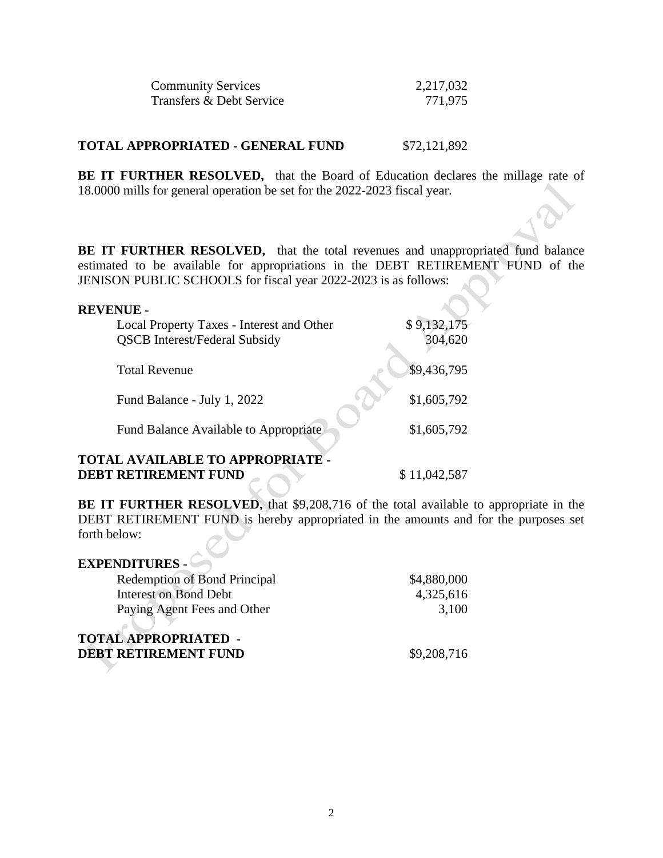| <b>Community Services</b> | 2,217,032 |
|---------------------------|-----------|
| Transfers & Debt Service  | 771,975   |

## **TOTAL APPROPRIATED - GENERAL FUND** \$72,121,892

BE IT FURTHER RESOLVED, that the Board of Education declares the millage rate of 18.0000 mills for general operation be set for the 2022-2023 fiscal year.

 **BE IT FURTHER RESOLVED,** that the total revenues and unappropriated fund balance estimated to be available for appropriations in the DEBT RETIREMENT FUND of the JENISON PUBLIC SCHOOLS for fiscal year 2022-2023 is as follows:

| <b>REVENUE -</b>                             |              |
|----------------------------------------------|--------------|
| Local Property Taxes - Interest and Other    | \$9,132,175  |
| <b>QSCB</b> Interest/Federal Subsidy         | 304,620      |
| <b>Total Revenue</b>                         | \$9,436,795  |
| Fund Balance - July 1, 2022                  | \$1,605,792  |
| <b>Fund Balance Available to Appropriate</b> | \$1,605,792  |
| <b>TOTAL AVAILABLE TO APPROPRIATE -</b>      |              |
| <b>DEBT RETIREMENT FUND</b>                  | \$11,042,587 |

**BE IT FURTHER RESOLVED,** that \$9,208,716 of the total available to appropriate in the DEBT RETIREMENT FUND is hereby appropriated in the amounts and for the purposes set forth below:

| <b>EXPENDITURES -</b>               |             |
|-------------------------------------|-------------|
| <b>Redemption of Bond Principal</b> | \$4,880,000 |
| <b>Interest on Bond Debt</b>        | 4,325,616   |
| Paying Agent Fees and Other         | 3,100       |
|                                     |             |
| <b>TOTAL APPROPRIATED -</b>         |             |
| <b>DEBT RETIREMENT FUND</b>         | \$9,208,716 |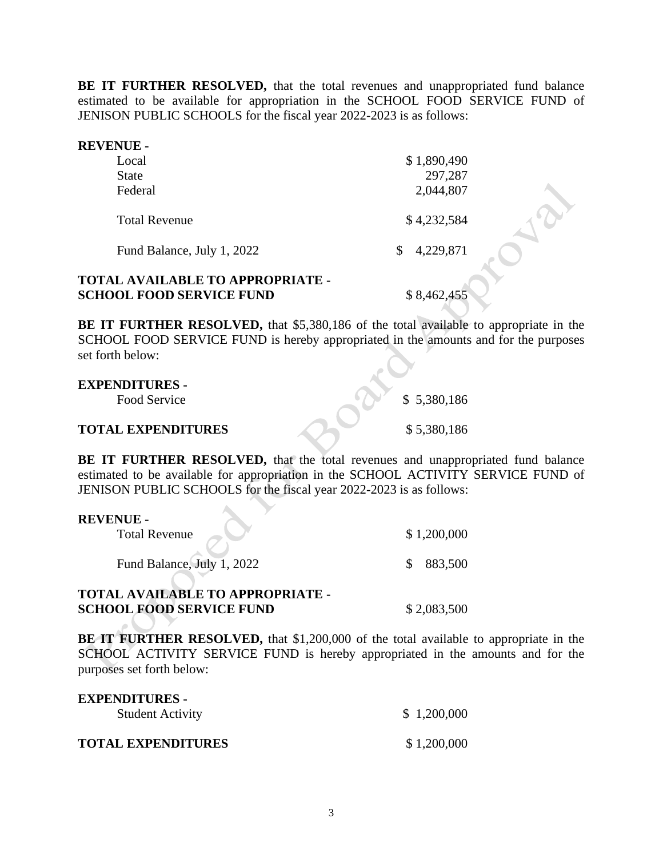**BE IT FURTHER RESOLVED,** that the total revenues and unappropriated fund balance estimated to be available for appropriation in the SCHOOL FOOD SERVICE FUND of JENISON PUBLIC SCHOOLS for the fiscal year 2022-2023 is as follows:

| <b>REVENUE -</b>                                                    |                 |  |
|---------------------------------------------------------------------|-----------------|--|
| Local                                                               | \$1,890,490     |  |
| <b>State</b>                                                        | 297,287         |  |
| Federal                                                             | 2,044,807       |  |
| <b>Total Revenue</b>                                                | \$4,232,584     |  |
| Fund Balance, July 1, 2022                                          | 4,229,871<br>\$ |  |
| TOTAL AVAILABLE TO APPROPRIATE -<br><b>SCHOOL FOOD SERVICE FUND</b> | \$8,462,455     |  |

**BE IT FURTHER RESOLVED,** that \$5,380,186 of the total available to appropriate in the SCHOOL FOOD SERVICE FUND is hereby appropriated in the amounts and for the purposes set forth below:

| <b>EXPENDITURES -</b>     |             |
|---------------------------|-------------|
| Food Service              | \$5,380,186 |
| <b>TOTAL EXPENDITURES</b> | \$5,380,186 |

 **BE IT FURTHER RESOLVED,** that the total revenues and unappropriated fund balance estimated to be available for appropriation in the SCHOOL ACTIVITY SERVICE FUND of JENISON PUBLIC SCHOOLS for the fiscal year 2022-2023 is as follows:

| <b>REVENUE -</b><br><b>Total Revenue</b> | \$1,200,000 |
|------------------------------------------|-------------|
| Fund Balance, July 1, 2022               | 883,500     |
| <b>TOTAL AVAILABLE TO APPROPRIATE -</b>  |             |
| <b>SCHOOL FOOD SERVICE FUND</b>          | \$2,083,500 |

 $\Delta \omega$ 

 $\overline{\phantom{a}}$ 

**BE IT FURTHER RESOLVED,** that \$1,200,000 of the total available to appropriate in the SCHOOL ACTIVITY SERVICE FUND is hereby appropriated in the amounts and for the purposes set forth below:

| <b>EXPENDITURES -</b>     |             |
|---------------------------|-------------|
| <b>Student Activity</b>   | \$1,200,000 |
|                           |             |
| <b>TOTAL EXPENDITURES</b> | \$1,200,000 |